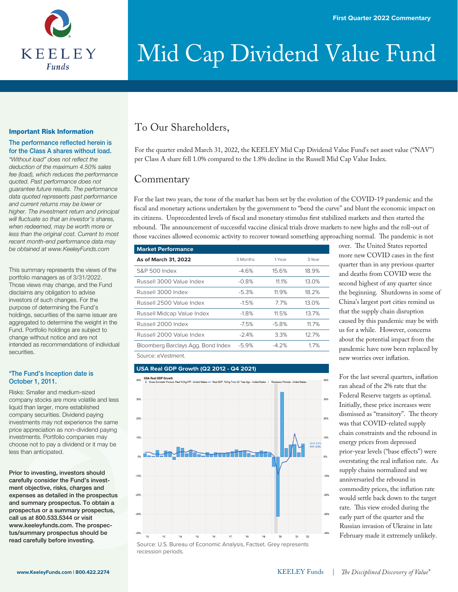

#### Important Risk Information

#### The performance reflected herein is for the Class A shares without load.

"Without load" does not reflect the *deduction of the maximum 4.50% sales fee (load), which reduces the performance quoted. Past performance does not guarantee future results. The performance data quoted represents past performance and current returns may be lower or higher. The investment return and principal will fluctuate so that an investor's shares, when redeemed, may be worth more or less than the original cost. Current to most recent month-end performance data may be obtained at www.KeeleyFunds.com*

This summary represents the views of the portfolio managers as of 3/31/2022. Those views may change, and the Fund disclaims any obligation to advise investors of such changes. For the purpose of determining the Fund's holdings, securities of the same issuer are aggregated to determine the weight in the Fund. Portfolio holdings are subject to change without notice and are not intended as recommendations of individual securities.

#### \*The Fund's Inception date is October 1, 2011.

Risks: Smaller and medium-sized company stocks are more volatile and less liquid than larger, more established company securities. Dividend paying investments may not experience the same price appreciation as non-dividend paying investments. Portfolio companies may choose not to pay a dividend or it may be less than anticipated.

Prior to investing, investors should carefully consider the Fund's investment objective, risks, charges and expenses as detailed in the prospectus and summary prospectus. To obtain a prospectus or a summary prospectus, call us at 800.533.5344 or visit www.keeleyfunds.com. The prospectus/summary prospectus should be read carefully before investing.

### To Our Shareholders,

For the quarter ended March 31, 2022, the KEELEY Mid Cap Dividend Value Fund's net asset value ("NAV") per Class A share fell 1.0% compared to the 1.8% decline in the Russell Mid Cap Value Index.

### **Commentary**

For the last two years, the tone of the market has been set by the evolution of the COVID-19 pandemic and the fiscal and monetary actions undertaken by the government to "bend the curve" and blunt the economic impact on its citizens. Unprecedented levels of fiscal and monetary stimulus first stabilized markets and then started the rebound. The announcement of successful vaccine clinical trials drove markets to new highs and the roll-out of those vaccines allowed economic activity to recover toward something approaching normal. The pandemic is not

| <b>Market Performance</b>          |          |         |        |
|------------------------------------|----------|---------|--------|
| As of March 31, 2022               | 3 Months | 1-Year  | 3-Year |
| S&P 500 Index                      | $-4.6%$  | 15.6%   | 18.9%  |
| Russell 3000 Value Index           | $-0.8%$  | 11.1%   | 13.0%  |
| Russell 3000 Index                 | $-5.3%$  | 11.9%   | 18.2%  |
| Russell 2500 Value Index           | $-1.5%$  | 77%     | 13.0%  |
| Russell Midcap Value Index         | $-1.8%$  | 11.5%   | 13.7%  |
| Russell 2000 Index                 | $-7.5%$  | $-5.8%$ | 11.7%  |
| Russell 2000 Value Index           | $-2.4%$  | 3.3%    | 12.7%  |
| Bloomberg Barclays Agg. Bond Index | $-5.9%$  | $-4.2%$ | 1.7%   |
| Source: eVestment.                 |          |         |        |

recession periods.

#### **USA Real GDP Growth (Q2 2012 - Q4 2021)**



over. The United States reported more new COVID cases in the first quarter than in any previous quarter and deaths from COVID were the second highest of any quarter since the beginning. Shutdowns in some of China's largest port cities remind us that the supply chain disruption caused by this pandemic may be with us for a while. However, concerns about the potential impact from the pandemic have now been replaced by new worries over inflation.

For the last several quarters, inflation ran ahead of the 2% rate that the Federal Reserve targets as optimal. Initially, these price increases were dismissed as "transitory". The theory was that COVID-related supply chain constraints and the rebound in energy prices from depressed prior-year levels ("base effects") were overstating the real inflation rate. As supply chains normalized and we anniversaried the rebound in commodity prices, the inflation rate would settle back down to the target rate. This view eroded during the early part of the quarter and the Russian invasion of Ukraine in late February made it extremely unlikely.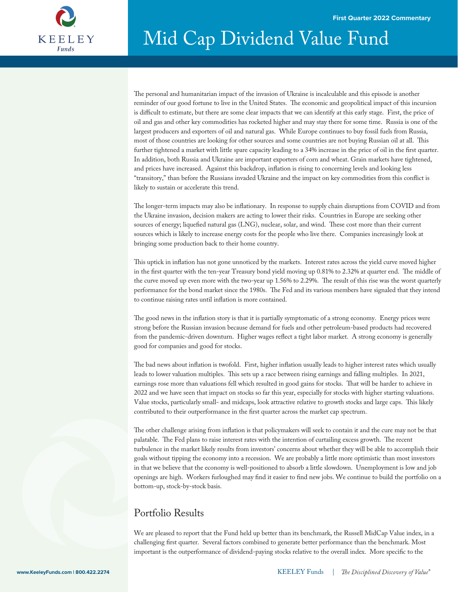

The personal and humanitarian impact of the invasion of Ukraine is incalculable and this episode is another reminder of our good fortune to live in the United States. The economic and geopolitical impact of this incursion is difficult to estimate, but there are some clear impacts that we can identify at this early stage. First, the price of oil and gas and other key commodities has rocketed higher and may stay there for some time. Russia is one of the largest producers and exporters of oil and natural gas. While Europe continues to buy fossil fuels from Russia, most of those countries are looking for other sources and some countries are not buying Russian oil at all. This further tightened a market with little spare capacity leading to a 34% increase in the price of oil in the first quarter. In addition, both Russia and Ukraine are important exporters of corn and wheat. Grain markets have tightened, and prices have increased. Against this backdrop, inflation is rising to concerning levels and looking less "transitory," than before the Russians invaded Ukraine and the impact on key commodities from this conflict is likely to sustain or accelerate this trend.

The longer-term impacts may also be inflationary. In response to supply chain disruptions from COVID and from the Ukraine invasion, decision makers are acting to lower their risks. Countries in Europe are seeking other sources of energy; liquefied natural gas (LNG), nuclear, solar, and wind. These cost more than their current sources which is likely to increase energy costs for the people who live there. Companies increasingly look at bringing some production back to their home country.

This uptick in inflation has not gone unnoticed by the markets. Interest rates across the yield curve moved higher in the first quarter with the ten-year Treasury bond yield moving up 0.81% to 2.32% at quarter end. The middle of the curve moved up even more with the two-year up 1.56% to 2.29%. The result of this rise was the worst quarterly performance for the bond market since the 1980s. The Fed and its various members have signaled that they intend to continue raising rates until inflation is more contained.

The good news in the inflation story is that it is partially symptomatic of a strong economy. Energy prices were strong before the Russian invasion because demand for fuels and other petroleum-based products had recovered from the pandemic-driven downturn. Higher wages reflect a tight labor market. A strong economy is generally good for companies and good for stocks.

The bad news about inflation is twofold. First, higher inflation usually leads to higher interest rates which usually leads to lower valuation multiples. This sets up a race between rising earnings and falling multiples. In 2021, earnings rose more than valuations fell which resulted in good gains for stocks. That will be harder to achieve in 2022 and we have seen that impact on stocks so far this year, especially for stocks with higher starting valuations. Value stocks, particularly small- and midcaps, look attractive relative to growth stocks and large caps. This likely contributed to their outperformance in the first quarter across the market cap spectrum.

The other challenge arising from inflation is that policymakers will seek to contain it and the cure may not be that palatable. The Fed plans to raise interest rates with the intention of curtailing excess growth. The recent turbulence in the market likely results from investors' concerns about whether they will be able to accomplish their goals without tipping the economy into a recession. We are probably a little more optimistic than most investors in that we believe that the economy is well-positioned to absorb a little slowdown. Unemployment is low and job openings are high. Workers furloughed may find it easier to find new jobs. We continue to build the portfolio on a bottom-up, stock-by-stock basis.

### Portfolio Results

We are pleased to report that the Fund held up better than its benchmark, the Russell MidCap Value index, in a challenging first quarter. Several factors combined to generate better performance than the benchmark. Most important is the outperformance of dividend-paying stocks relative to the overall index. More specific to the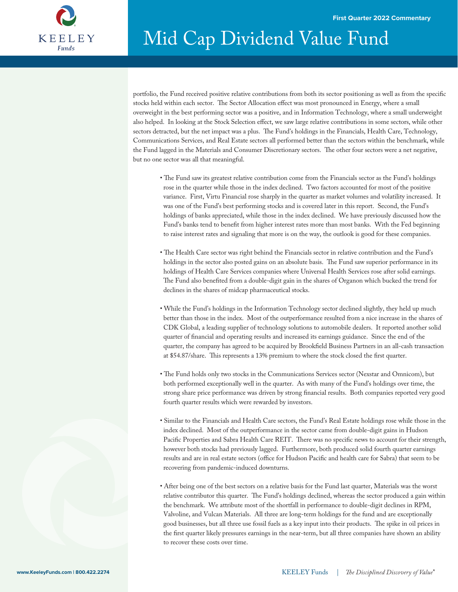

portfolio, the Fund received positive relative contributions from both its sector positioning as well as from the specific stocks held within each sector. The Sector Allocation effect was most pronounced in Energy, where a small overweight in the best performing sector was a positive, and in Information Technology, where a small underweight also helped. In looking at the Stock Selection effect, we saw large relative contributions in some sectors, while other sectors detracted, but the net impact was a plus. The Fund's holdings in the Financials, Health Care, Technology, Communications Services, and Real Estate sectors all performed better than the sectors within the benchmark, while the Fund lagged in the Materials and Consumer Discretionary sectors. The other four sectors were a net negative, but no one sector was all that meaningful.

- The Fund saw its greatest relative contribution come from the Financials sector as the Fund's holdings rose in the quarter while those in the index declined. Two factors accounted for most of the positive variance. First, Virtu Financial rose sharply in the quarter as market volumes and volatility increased. It was one of the Fund's best performing stocks and is covered later in this report. Second, the Fund's holdings of banks appreciated, while those in the index declined. We have previously discussed how the Fund's banks tend to benefit from higher interest rates more than most banks. With the Fed beginning to raise interest rates and signaling that more is on the way, the outlook is good for these companies.
- The Health Care sector was right behind the Financials sector in relative contribution and the Fund's holdings in the sector also posted gains on an absolute basis. The Fund saw superior performance in its holdings of Health Care Services companies where Universal Health Services rose after solid earnings. The Fund also benefited from a double-digit gain in the shares of Organon which bucked the trend for declines in the shares of midcap pharmaceutical stocks.
- While the Fund's holdings in the Information Technology sector declined slightly, they held up much better than those in the index. Most of the outperformance resulted from a nice increase in the shares of CDK Global, a leading supplier of technology solutions to automobile dealers. It reported another solid quarter of financial and operating results and increased its earnings guidance. Since the end of the quarter, the company has agreed to be acquired by Brookfield Business Partners in an all-cash transaction at \$54.87/share. This represents a 13% premium to where the stock closed the first quarter.
- The Fund holds only two stocks in the Communications Services sector (Nexstar and Omnicom), but both performed exceptionally well in the quarter. As with many of the Fund's holdings over time, the strong share price performance was driven by strong financial results. Both companies reported very good fourth quarter results which were rewarded by investors.
- Similar to the Financials and Health Care sectors, the Fund's Real Estate holdings rose while those in the index declined. Most of the outperformance in the sector came from double-digit gains in Hudson Pacific Properties and Sabra Health Care REIT. There was no specific news to account for their strength, however both stocks had previously lagged. Furthermore, both produced solid fourth quarter earnings results and are in real estate sectors (office for Hudson Pacific and health care for Sabra) that seem to be recovering from pandemic-induced downturns.
- After being one of the best sectors on a relative basis for the Fund last quarter, Materials was the worst relative contributor this quarter. The Fund's holdings declined, whereas the sector produced a gain within the benchmark. We attribute most of the shortfall in performance to double-digit declines in RPM, Valvoline, and Vulcan Materials. All three are long-term holdings for the fund and are exceptionally good businesses, but all three use fossil fuels as a key input into their products. The spike in oil prices in the first quarter likely pressures earnings in the near-term, but all three companies have shown an ability to recover these costs over time.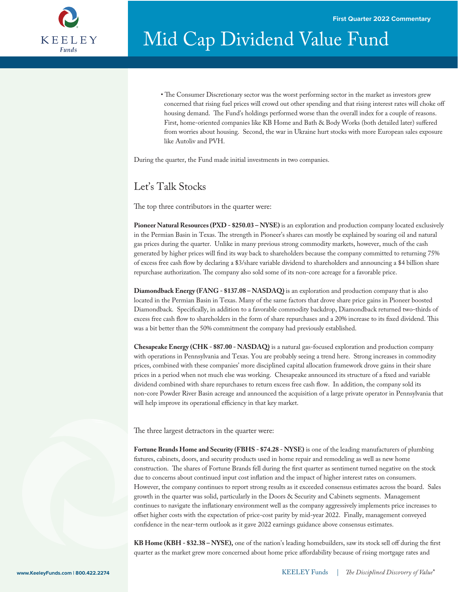

• The Consumer Discretionary sector was the worst performing sector in the market as investors grew concerned that rising fuel prices will crowd out other spending and that rising interest rates will choke o housing demand. The Fund's holdings performed worse than the overall index for a couple of reasons. First, home-oriented companies like KB Home and Bath & Body Works (both detailed later) suffered from worries about housing. Second, the war in Ukraine hurt stocks with more European sales exposure like Autoliv and PVH.

During the quarter, the Fund made initial investments in two companies.

### Let's Talk Stocks

The top three contributors in the quarter were:

**Pioneer Natural Resources (PXD - \$250.03 – NYSE)** is an exploration and production company located exclusively in the Permian Basin in Texas. The strength in Pioneer's shares can mostly be explained by soaring oil and natural gas prices during the quarter. Unlike in many previous strong commodity markets, however, much of the cash generated by higher prices will find its way back to shareholders because the company committed to returning 75% of excess free cash flow by declaring a \$3/share variable dividend to shareholders and announcing a \$4 billion share repurchase authorization. The company also sold some of its non-core acreage for a favorable price.

**Diamondback Energy (FANG - \$137.08 – NASDAQ)** is an exploration and production company that is also located in the Permian Basin in Texas. Many of the same factors that drove share price gains in Pioneer boosted Diamondback. Specifically, in addition to a favorable commodity backdrop, Diamondback returned two-thirds of excess free cash flow to shareholders in the form of share repurchases and a 20% increase to its fixed dividend. This was a bit better than the 50% commitment the company had previously established.

**Chesapeake Energy (CHK - \$87.00 - NASDAQ)** is a natural gas-focused exploration and production company with operations in Pennsylvania and Texas. You are probably seeing a trend here. Strong increases in commodity prices, combined with these companies' more disciplined capital allocation framework drove gains in their share prices in a period when not much else was working. Chesapeake announced its structure of a fixed and variable dividend combined with share repurchases to return excess free cash flow. In addition, the company sold its non-core Powder River Basin acreage and announced the acquisition of a large private operator in Pennsylvania that will help improve its operational efficiency in that key market.

The three largest detractors in the quarter were:

**Fortune Brands Home and Security (FBHS - \$74.28 - NYSE)** is one of the leading manufacturers of plumbing fixtures, cabinets, doors, and security products used in home repair and remodeling as well as new home construction. The shares of Fortune Brands fell during the first quarter as sentiment turned negative on the stock due to concerns about continued input cost inflation and the impact of higher interest rates on consumers. However, the company continues to report strong results as it exceeded consensus estimates across the board. Sales growth in the quarter was solid, particularly in the Doors & Security and Cabinets segments. Management continues to navigate the inflationary environment well as the company aggressively implements price increases to offset higher costs with the expectation of price-cost parity by mid-year 2022. Finally, management conveyed confidence in the near-term outlook as it gave 2022 earnings guidance above consensus estimates.

KB Home (KBH - \$32.38 – NYSE), one of the nation's leading homebuilders, saw its stock sell off during the first quarter as the market grew more concerned about home price affordability because of rising mortgage rates and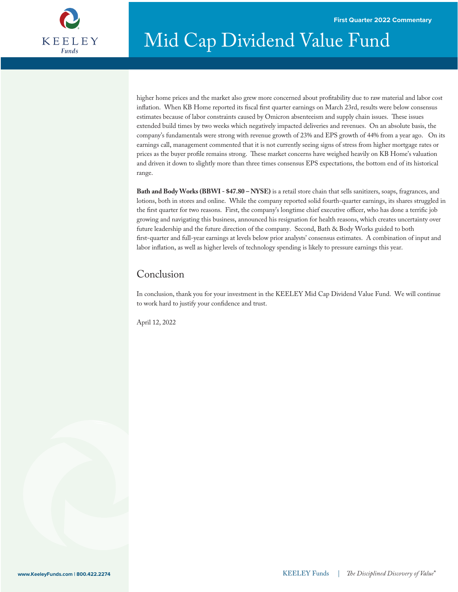

higher home prices and the market also grew more concerned about profitability due to raw material and labor cost inflation. When KB Home reported its fiscal first quarter earnings on March 23rd, results were below consensus estimates because of labor constraints caused by Omicron absenteeism and supply chain issues. These issues extended build times by two weeks which negatively impacted deliveries and revenues. On an absolute basis, the company's fundamentals were strong with revenue growth of 23% and EPS growth of 44% from a year ago. On its earnings call, management commented that it is not currently seeing signs of stress from higher mortgage rates or prices as the buyer profile remains strong. These market concerns have weighed heavily on KB Home's valuation and driven it down to slightly more than three times consensus EPS expectations, the bottom end of its historical range.

**Bath and Body Works (BBWI - \$47.80 – NYSE)** is a retail store chain that sells sanitizers, soaps, fragrances, and lotions, both in stores and online. While the company reported solid fourth-quarter earnings, its shares struggled in the first quarter for two reasons. First, the company's longtime chief executive officer, who has done a terrific job growing and navigating this business, announced his resignation for health reasons, which creates uncertainty over future leadership and the future direction of the company. Second, Bath & Body Works guided to both first-quarter and full-year earnings at levels below prior analysts' consensus estimates. A combination of input and labor inflation, as well as higher levels of technology spending is likely to pressure earnings this year.

### Conclusion

In conclusion, thank you for your investment in the KEELEY Mid Cap Dividend Value Fund. We will continue to work hard to justify your confidence and trust.

April 12, 2022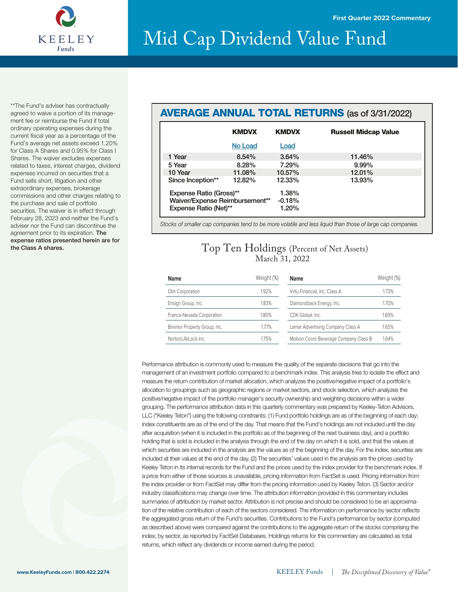

\*\*The Fund's adviser has contractually agreed to waive a portion of its management fee or reimburse the Fund if total ordinary operating expenses during the current fiscal year as a percentage of the Fund's average net assets exceed 1.20% for Class A Shares and 0.95% for Class I Shares. The waiver excludes expenses related to taxes, interest charges, dividend expenses incurred on securities that a Fund sells short, litigation and other extraordinary expenses, brokerage commissions and other charges relating to the purchase and sale of portfolio securities. The waiver is in effect through February 28, 2023 and neither the Fund's adviser nor the Fund can discontinue the agreement prior to its expiration. The expense ratios presented herein are for the Class A shares.

### AVERAGE ANNUAL TOTAL RETURNS (as of 3/31/2022)

|                                | <b>KMDVX</b>   | <b>KMDVX</b> | <b>Russell Midcap Value</b> |
|--------------------------------|----------------|--------------|-----------------------------|
|                                | <b>No Load</b> | Load         |                             |
| 1 Year                         | $8.54\%$       | $3.64\%$     | 11.46%                      |
| 5 Year                         | 8.28%          | 7.29%        | 9.99%                       |
| 10 Year                        | 11.08%         | 10.57%       | 12.01%                      |
| Since Inception**              | 12.82%         | 12.33%       | 13.93%                      |
| Expense Ratio (Gross)**        |                | 1.38%        |                             |
| Waiver/Expense Reimbursement** |                | $-0.18%$     |                             |
| Expense Ratio (Net)**          |                | 1.20%        |                             |

*Stocks of smaller cap companies tend to be more volatile and less liquid than those of large cap companies.*

### Top Ten Holdings (Percent of Net Assets) March 31, 2022

| Name                         | Weight (%) | Name                                  | Weight (%) |
|------------------------------|------------|---------------------------------------|------------|
| Olin Corporation             | 1.92%      | Virtu Financial, Inc. Class A         | 1.73%      |
| Ensign Group, Inc.           | 1.83%      | Diamondback Energy, Inc.              | 1.70%      |
| Franco-Nevada Corporation    | 1.80%      | CDK Global, Inc.                      | 1.69%      |
| Brixmor Property Group, Inc. | 1.77%      | Lamar Advertising Company Class A     | 1.65%      |
| NortonLifeLock Inc.          | 1.75%      | Molson Coors Beverage Company Class B | 1.64%      |

Performance attribution is commonly used to measure the quality of the separate decisions that go into the management of an investment portfolio compared to a benchmark index. This analysis tries to isolate the effect and measure the return contribution of market allocation, which analyzes the positive/negative impact of a portfolio's allocation to groupings such as geographic regions or market sectors, and stock selection, which analyzes the positive/negative impact of the portfolio manager's security ownership and weighting decisions within a wider grouping. The performance attribution data in this quarterly commentary was prepared by Keeley-Teton Advisors, LLC ("Keeley Teton") using the following constraints: (1) Fund portfolio holdings are as of the beginning of each day; index constituents are as of the end of the day. That means that the Fund's holdings are not included until the day after acquisition (when it is included in the portfolio as of the beginning of the next business day), and a portfolio holding that is sold is included in the analysis through the end of the day on which it is sold, and that the values at which securities are included in the analysis are the values as of the beginning of the day. For the index, securities are included at their values at the end of the day. (2) The securities' values used in the analysis are the prices used by Keeley Teton in its internal records for the Fund and the prices used by the index provider for the benchmark index. If a price from either of those sources is unavailable, pricing information from FactSet is used. Pricing information from the index provider or from FactSet may differ from the pricing information used by Keeley Teton. (3) Sector and/or industry classifications may change over time. The attribution information provided in this commentary includes summaries of attribution by market sector. Attribution is not precise and should be considered to be an approximation of the relative contribution of each of the sectors considered. The information on performance by sector reflects the aggregated gross return of the Fund's securities. Contributions to the Fund's performance by sector (computed as described above) were compared against the contributions to the aggregate return of the stocks comprising the index, by sector, as reported by FactSet Databases. Holdings returns for this commentary are calculated as total returns, which reflect any dividends or income earned during the period.